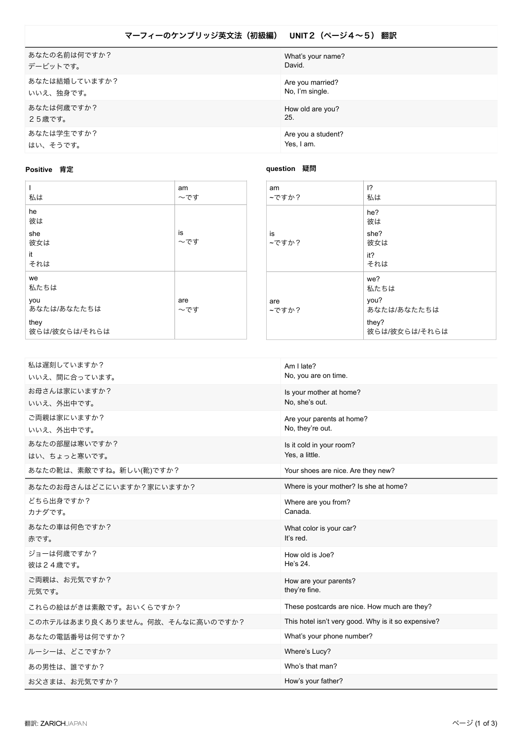## マーフィーのケンブリッジ英文法 (初級編) UNIT2 (ページ4~5) 翻訳

| あなたの名前は何ですか?  | What's your name?  |
|---------------|--------------------|
| デービットです。      | David.             |
| あなたは結婚していますか? | Are you married?   |
| いいえ、独身です。     | No, I'm single.    |
| あなたは何歳ですか?    | How old are you?   |
| 25歳です。        | 25.                |
| あなたは学生ですか?    | Are you a student? |
| はい、そうです。      | Yes, I am.         |

**question** 疑問

## **Positive 肯定**

| 私は                         | am<br>〜です  | am<br>~ですか?  |
|----------------------------|------------|--------------|
| he<br>彼は                   |            |              |
| she<br>彼女は<br>it           | is<br>~です  | is<br>~ですか?  |
| それは<br>we                  |            |              |
| 私たちは<br>you<br>あなたは/あなたたちは | are<br>~です | are<br>~ですか? |
| they<br>彼らは/彼女らは/それらは      |            |              |

| am<br>~ですか?  | $\overline{12}$<br>私は                                        |
|--------------|--------------------------------------------------------------|
| is<br>~ですか?  | he?<br>彼は<br>she?<br>彼女は<br>it?<br>それは                       |
| are<br>~ですか? | we?<br>私たちは<br>you?<br>あなたは/あなたたちは<br>they?<br>彼らは/彼女らは/それらは |

| 私は遅刻していますか?<br>いいえ、間に合っています。    | Am I late?<br>No, you are on time.                  |
|---------------------------------|-----------------------------------------------------|
| お母さんは家にいますか?<br>いいえ、外出中です。      | Is your mother at home?<br>No. she's out.           |
| ご両親は家にいますか?<br>いいえ、外出中です。       | Are your parents at home?<br>No, they're out.       |
| あなたの部屋は寒いですか?<br>はい、ちょっと寒いです。   | Is it cold in your room?<br>Yes, a little.          |
| あなたの靴は、素敵ですね。新しい(靴)ですか?         | Your shoes are nice. Are they new?                  |
| あなたのお母さんはどこにいますか?家にいますか?        | Where is your mother? Is she at home?               |
| どちら出身ですか?<br>カナダです。             | Where are you from?<br>Canada.                      |
| あなたの車は何色ですか?<br>赤です。            | What color is your car?<br>It's red.                |
| ジョーは何歳ですか?<br>彼は24歳です。          | How old is Joe?<br>He's 24.                         |
| ご両親は、お元気ですか?<br>元気です。           | How are your parents?<br>they're fine.              |
| これらの絵はがきは素敵です。おいくらですか?          | These postcards are nice. How much are they?        |
| このホテルはあまり良くありません。何故、そんなに高いのですか? | This hotel isn't very good. Why is it so expensive? |
| あなたの電話番号は何ですか?                  | What's your phone number?                           |
| ルーシーは、どこですか?                    | Where's Lucy?                                       |
| あの男性は、誰ですか?                     | Who's that man?                                     |
| お父さまは、お元気ですか?                   | How's your father?                                  |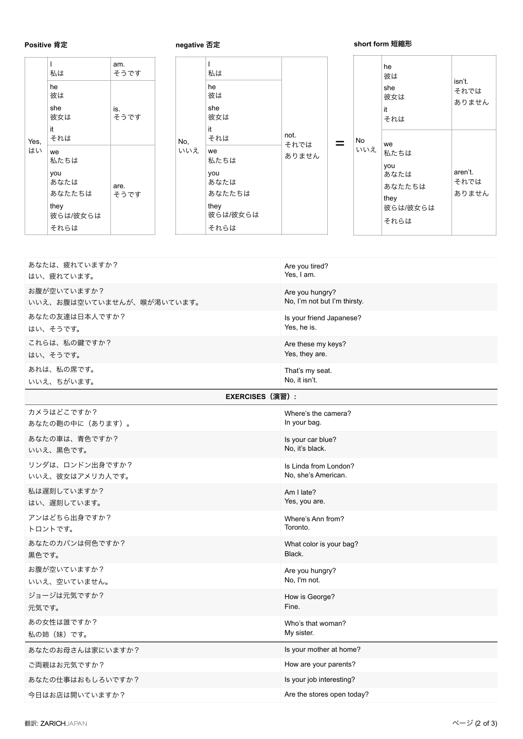## **Positive 肯定**

**negative 否定** 

## **short form 短縮形**

|      | 私は<br>he<br>彼は<br>she<br>彼女は<br>it                              | am.<br>そうです<br>is.<br>そうです |     |     | 私は<br>he<br>彼は<br>she<br>彼女は<br>it                              |       |     | he<br>彼は<br>she<br>彼女は<br>it<br>それは                       | isn't.<br>それでは<br>ありません  |
|------|-----------------------------------------------------------------|----------------------------|-----|-----|-----------------------------------------------------------------|-------|-----|-----------------------------------------------------------|--------------------------|
| Yes, | それは                                                             |                            | No. | それは | not.<br>それでは                                                    | No    | we  |                                                           |                          |
| はい   | we<br>私たちは<br>you<br>あなたは<br>あなたたちは<br>they<br>彼らは/彼女らは<br>それらは | are.<br>そうです               |     | いいえ | we<br>私たちは<br>you<br>あなたは<br>あなたたちは<br>they<br>彼らは/彼女らは<br>それらは | ありません | いいえ | 私たちは<br>you<br>あなたは<br>あなたたちは<br>they<br>彼らは/彼女らは<br>それらは | aren't.<br>それでは<br>ありません |

| あなたは、疲れていますか?             | Are you tired?               |
|---------------------------|------------------------------|
| はい、疲れています。                | Yes, I am.                   |
| お腹が空いていますか?               | Are you hungry?              |
| いいえ、お腹は空いていませんが、喉が渇いています。 | No, I'm not but I'm thirsty. |
| あなたの友達は日本人ですか?            | Is your friend Japanese?     |
| はい、そうです。                  | Yes, he is.                  |
| これらは、私の鍵ですか?              | Are these my keys?           |
| はい、そうです。                  | Yes, they are.               |
| あれは、私の席です。                | That's my seat.              |
| いいえ、ちがいます。                | No, it isn't.                |
| EXERCISES (演習):           |                              |
| カメラはどこですか?                | Where's the camera?          |
| あなたの鞄の中に (あります)。          | In your bag.                 |
| あなたの車は、青色ですか?             | Is your car blue?            |
| いいえ、黒色です。                 | No. it's black.              |
| リンダは、ロンドン出身ですか?           | Is Linda from London?        |
| いいえ、彼女はアメリカ人です。           | No, she's American.          |
| 私は遅刻していますか?               | Am I late?                   |
| はい、遅刻しています。               | Yes, you are.                |
| アンはどちら出身ですか?              | Where's Ann from?            |
| トロントです。                   | Toronto.                     |
| あなたのカバンは何色ですか?            | What color is your bag?      |
| 黒色です。                     | Black.                       |
| お腹が空いていますか?               | Are you hungry?              |
| いいえ、空いていません。              | No, I'm not.                 |
| ジョージは元気ですか?               | How is George?               |
| 元気です。                     | Fine.                        |
| あの女性は誰ですか?                | Who's that woman?            |
| 私の姉(妹)です。                 | My sister.                   |
| あなたのお母さんは家にいますか?          | Is your mother at home?      |
| ご両親はお元気ですか?               | How are your parents?        |
| あなたの仕事はおもしろいですか?          | Is your job interesting?     |
| 今日はお店は開いていますか?            | Are the stores open today?   |
|                           |                              |